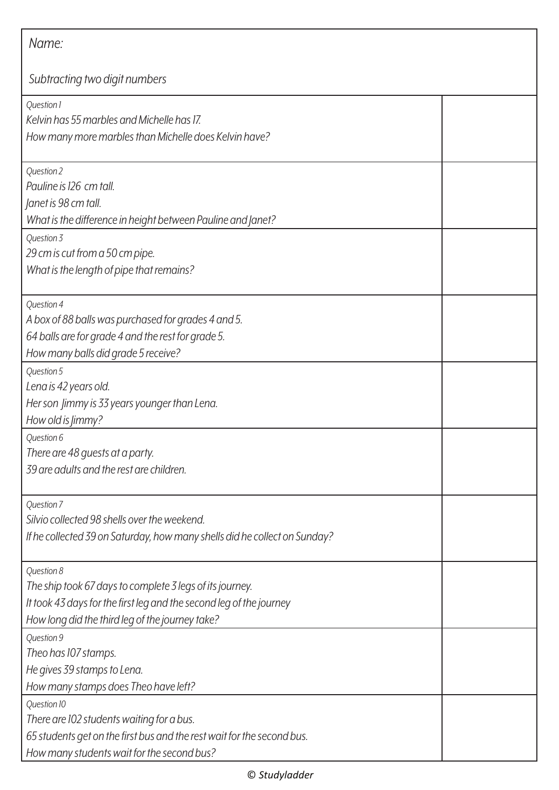| Name:                                                                                                                                                                                            |  |
|--------------------------------------------------------------------------------------------------------------------------------------------------------------------------------------------------|--|
| Subtracting two digit numbers                                                                                                                                                                    |  |
| Question 1<br>Kelvin has 55 marbles and Michelle has 17.<br>How many more marbles than Michelle does Kelvin have?                                                                                |  |
| Question 2<br>Pauline is 126 cm tall.<br>Janet is 98 cm tall.<br>What is the difference in height between Pauline and Janet?                                                                     |  |
| Question 3<br>29 cm is cut from a 50 cm pipe.<br>What is the length of pipe that remains?                                                                                                        |  |
| Question 4<br>A box of 88 balls was purchased for grades 4 and 5.<br>64 balls are for grade 4 and the rest for grade 5.<br>How many balls did grade 5 receive?                                   |  |
| Question 5<br>Lena is 42 years old.<br>Her son Jimmy is 33 years younger than Lena.<br>How old is <i>Jimmy</i> ?                                                                                 |  |
| Question 6<br>There are 48 guests at a party.<br>39 are adults and the rest are children.                                                                                                        |  |
| Question 7<br>Silvio collected 98 shells over the weekend.<br>If he collected 39 on Saturday, how many shells did he collect on Sunday?                                                          |  |
| Question 8<br>The ship took 67 days to complete 3 legs of its journey.<br>It took 43 days for the first leg and the second leg of the journey<br>How long did the third leg of the journey take? |  |
| Question 9<br>Theo has 107 stamps.<br>He gives 39 stamps to Lena.<br>How many stamps does Theo have left?                                                                                        |  |
| Question 10<br>There are 102 students waiting for a bus.<br>65 students get on the first bus and the rest wait for the second bus.<br>How many students wait for the second bus?                 |  |

## © *Studyladder*